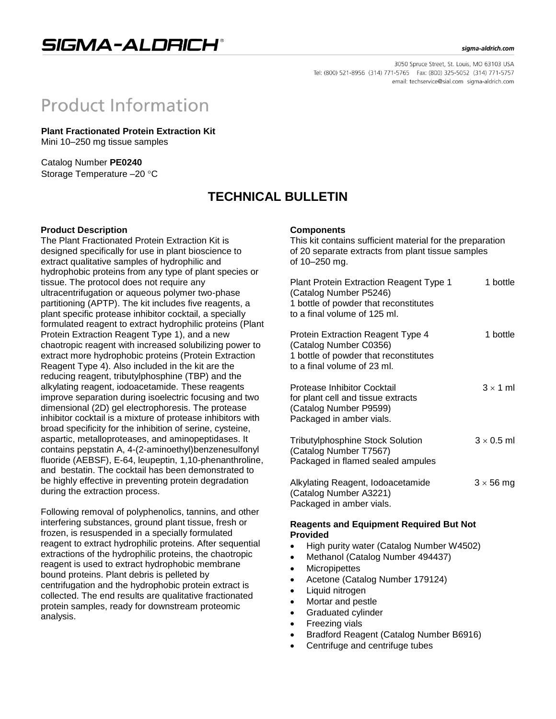## SIGMA-ALDRICH®

#### sigma-aldrich.com

3050 Spruce Street, St. Louis, MO 63103 USA Tel: (800) 521-8956 (314) 771-5765 Fax: (800) 325-5052 (314) 771-5757 email: techservice@sial.com sigma-aldrich.com

# **Product Information**

**Plant Fractionated Protein Extraction Kit** Mini 10–250 mg tissue samples

Catalog Number **PE0240** Storage Temperature -20 °C

## **TECHNICAL BULLETIN**

#### **Product Description**

The Plant Fractionated Protein Extraction Kit is designed specifically for use in plant bioscience to extract qualitative samples of hydrophilic and hydrophobic proteins from any type of plant species or tissue. The protocol does not require any ultracentrifugation or aqueous polymer two-phase partitioning (APTP). The kit includes five reagents, a plant specific protease inhibitor cocktail, a specially formulated reagent to extract hydrophilic proteins (Plant Protein Extraction Reagent Type 1), and a new chaotropic reagent with increased solubilizing power to extract more hydrophobic proteins (Protein Extraction Reagent Type 4). Also included in the kit are the reducing reagent, tributylphosphine (TBP) and the alkylating reagent, iodoacetamide. These reagents improve separation during isoelectric focusing and two dimensional (2D) gel electrophoresis. The protease inhibitor cocktail is a mixture of protease inhibitors with broad specificity for the inhibition of serine, cysteine, aspartic, metalloproteases, and aminopeptidases. It contains pepstatin A, 4-(2-aminoethyl)benzenesulfonyl fluoride (AEBSF), E-64, leupeptin, 1,10-phenanthroline, and bestatin. The cocktail has been demonstrated to be highly effective in preventing protein degradation during the extraction process.

Following removal of polyphenolics, tannins, and other interfering substances, ground plant tissue, fresh or frozen, is resuspended in a specially formulated reagent to extract hydrophilic proteins. After sequential extractions of the hydrophilic proteins, the chaotropic reagent is used to extract hydrophobic membrane bound proteins. Plant debris is pelleted by centrifugation and the hydrophobic protein extract is collected. The end results are qualitative fractionated protein samples, ready for downstream proteomic analysis.

#### **Components**

This kit contains sufficient material for the preparation of 20 separate extracts from plant tissue samples of 10–250 mg.

| <b>Plant Protein Extraction Reagent Type 1</b><br>(Catalog Number P5246)<br>1 bottle of powder that reconstitutes<br>to a final volume of 125 ml. | 1 bottle          |
|---------------------------------------------------------------------------------------------------------------------------------------------------|-------------------|
| Protein Extraction Reagent Type 4<br>(Catalog Number C0356)<br>1 bottle of powder that reconstitutes<br>to a final volume of 23 ml.               | 1 bottle          |
| Protease Inhibitor Cocktail<br>for plant cell and tissue extracts<br>(Catalog Number P9599)<br>Packaged in amber vials.                           | $3 \times 1$ ml   |
| Tributylphosphine Stock Solution<br>(Catalog Number T7567)<br>Packaged in flamed sealed ampules                                                   | $3 \times 0.5$ ml |
| Alkylating Reagent, Iodoacetamide<br>(Catalog Number A3221)<br>Packaged in amber vials.                                                           | $3 \times 56$ mg  |

#### **Reagents and Equipment Required But Not Provided**

- High purity water (Catalog Number W4502)
- Methanol (Catalog Number 494437)
- Micropipettes
- Acetone (Catalog Number 179124)
- Liquid nitrogen
- Mortar and pestle
- Graduated cylinder
- Freezing vials
- Bradford Reagent (Catalog Number B6916)
- Centrifuge and centrifuge tubes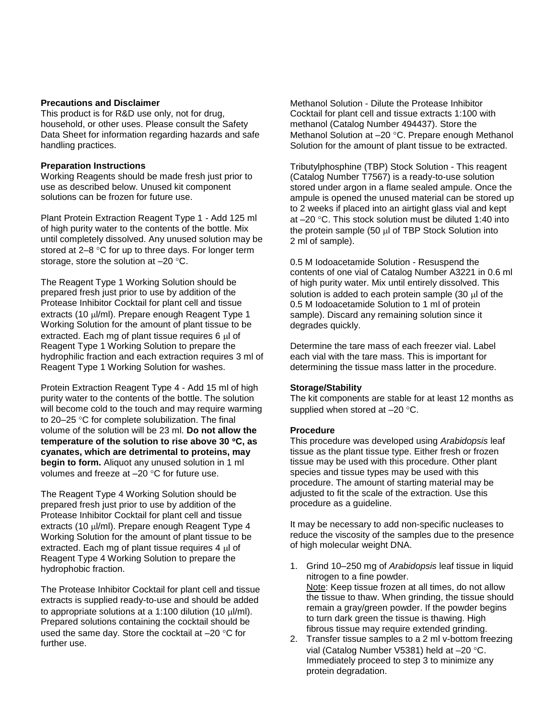#### **Precautions and Disclaimer**

This product is for R&D use only, not for drug, household, or other uses. Please consult the Safety Data Sheet for information regarding hazards and safe handling practices.

#### **Preparation Instructions**

Working Reagents should be made fresh just prior to use as described below. Unused kit component solutions can be frozen for future use.

Plant Protein Extraction Reagent Type 1 - Add 125 ml of high purity water to the contents of the bottle. Mix until completely dissolved. Any unused solution may be stored at  $2-8$  °C for up to three days. For longer term storage, store the solution at  $-20$   $^{\circ}$ C.

The Reagent Type 1 Working Solution should be prepared fresh just prior to use by addition of the Protease Inhibitor Cocktail for plant cell and tissue extracts (10  $\mu$ /ml). Prepare enough Reagent Type 1 Working Solution for the amount of plant tissue to be extracted. Each mg of plant tissue requires 6 ul of Reagent Type 1 Working Solution to prepare the hydrophilic fraction and each extraction requires 3 ml of Reagent Type 1 Working Solution for washes.

Protein Extraction Reagent Type 4 - Add 15 ml of high purity water to the contents of the bottle. The solution will become cold to the touch and may require warming to 20–25  $\degree$ C for complete solubilization. The final volume of the solution will be 23 ml. **Do not allow the temperature of the solution to rise above 30 C, as cyanates, which are detrimental to proteins, may begin to form.** Aliquot any unused solution in 1 ml volumes and freeze at  $-20$  °C for future use.

The Reagent Type 4 Working Solution should be prepared fresh just prior to use by addition of the Protease Inhibitor Cocktail for plant cell and tissue extracts (10  $\mu$ /ml). Prepare enough Reagent Type 4 Working Solution for the amount of plant tissue to be extracted. Each mg of plant tissue requires 4  $\mu$  of Reagent Type 4 Working Solution to prepare the hydrophobic fraction.

The Protease Inhibitor Cocktail for plant cell and tissue extracts is supplied ready-to-use and should be added to appropriate solutions at a 1:100 dilution (10  $\mu$ l/ml). Prepared solutions containing the cocktail should be used the same day. Store the cocktail at  $-20$  °C for further use.

Methanol Solution - Dilute the Protease Inhibitor Cocktail for plant cell and tissue extracts 1:100 with methanol (Catalog Number 494437). Store the Methanol Solution at  $-20$  °C. Prepare enough Methanol Solution for the amount of plant tissue to be extracted.

Tributylphosphine (TBP) Stock Solution - This reagent (Catalog Number T7567) is a ready-to-use solution stored under argon in a flame sealed ampule. Once the ampule is opened the unused material can be stored up to 2 weeks if placed into an airtight glass vial and kept at  $-20$  °C. This stock solution must be diluted 1:40 into the protein sample  $(50 \text{ µ}$  of TBP Stock Solution into 2 ml of sample).

0.5 M Iodoacetamide Solution - Resuspend the contents of one vial of Catalog Number A3221 in 0.6 ml of high purity water. Mix until entirely dissolved. This solution is added to each protein sample  $(30 \mu)$  of the 0.5 M Iodoacetamide Solution to 1 ml of protein sample). Discard any remaining solution since it degrades quickly.

Determine the tare mass of each freezer vial. Label each vial with the tare mass. This is important for determining the tissue mass latter in the procedure.

#### **Storage/Stability**

The kit components are stable for at least 12 months as supplied when stored at  $-20$  °C.

#### **Procedure**

This procedure was developed using *Arabidopsis* leaf tissue as the plant tissue type. Either fresh or frozen tissue may be used with this procedure. Other plant species and tissue types may be used with this procedure. The amount of starting material may be adjusted to fit the scale of the extraction. Use this procedure as a guideline.

It may be necessary to add non-specific nucleases to reduce the viscosity of the samples due to the presence of high molecular weight DNA.

- 1. Grind 10–250 mg of *Arabidopsis* leaf tissue in liquid nitrogen to a fine powder. Note: Keep tissue frozen at all times, do not allow the tissue to thaw. When grinding, the tissue should remain a gray/green powder. If the powder begins to turn dark green the tissue is thawing. High fibrous tissue may require extended grinding.
- 2. Transfer tissue samples to a 2 ml v-bottom freezing vial (Catalog Number V5381) held at  $-20$  °C. Immediately proceed to step 3 to minimize any protein degradation.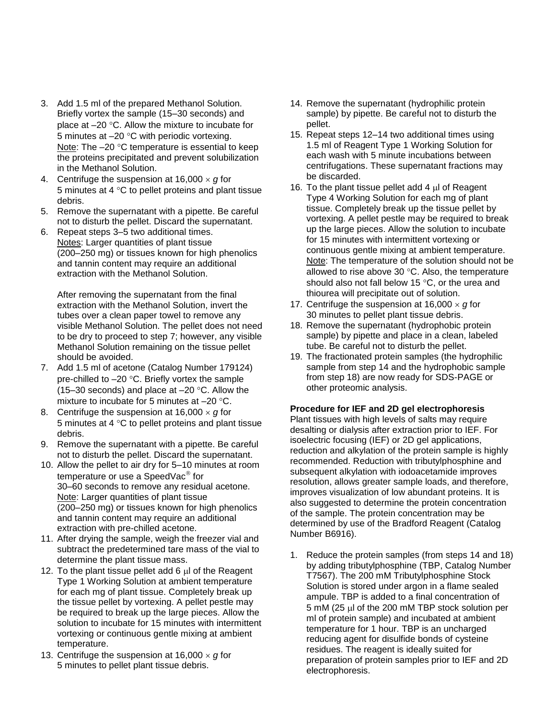- 3. Add 1.5 ml of the prepared Methanol Solution. Briefly vortex the sample (15–30 seconds) and place at  $-20$  °C. Allow the mixture to incubate for 5 minutes at  $-20$  °C with periodic vortexing. Note: The  $-20$  °C temperature is essential to keep the proteins precipitated and prevent solubilization in the Methanol Solution.
- 4. Centrifuge the suspension at  $16,000 \times g$  for 5 minutes at 4  $\degree$ C to pellet proteins and plant tissue debris.
- 5. Remove the supernatant with a pipette. Be careful not to disturb the pellet. Discard the supernatant.
- 6. Repeat steps 3–5 two additional times. Notes: Larger quantities of plant tissue (200–250 mg) or tissues known for high phenolics and tannin content may require an additional extraction with the Methanol Solution.

After removing the supernatant from the final extraction with the Methanol Solution, invert the tubes over a clean paper towel to remove any visible Methanol Solution. The pellet does not need to be dry to proceed to step 7; however, any visible Methanol Solution remaining on the tissue pellet should be avoided.

- 7. Add 1.5 ml of acetone (Catalog Number 179124) pre-chilled to  $-20$  °C. Briefly vortex the sample (15–30 seconds) and place at  $-20$  °C. Allow the mixture to incubate for 5 minutes at  $-20$  °C.
- 8. Centrifuge the suspension at  $16,000 \times g$  for 5 minutes at 4  $\mathrm{^{\circ}C}$  to pellet proteins and plant tissue debris.
- 9. Remove the supernatant with a pipette. Be careful not to disturb the pellet. Discard the supernatant.
- 10. Allow the pellet to air dry for 5–10 minutes at room temperature or use a SpeedVac<sup>®</sup> for 30–60 seconds to remove any residual acetone. Note: Larger quantities of plant tissue (200–250 mg) or tissues known for high phenolics and tannin content may require an additional extraction with pre-chilled acetone.
- 11. After drying the sample, weigh the freezer vial and subtract the predetermined tare mass of the vial to determine the plant tissue mass.
- 12. To the plant tissue pellet add 6 ul of the Reagent Type 1 Working Solution at ambient temperature for each mg of plant tissue. Completely break up the tissue pellet by vortexing. A pellet pestle may be required to break up the large pieces. Allow the solution to incubate for 15 minutes with intermittent vortexing or continuous gentle mixing at ambient temperature.
- 13. Centrifuge the suspension at  $16,000 \times g$  for 5 minutes to pellet plant tissue debris.
- 14. Remove the supernatant (hydrophilic protein sample) by pipette. Be careful not to disturb the pellet.
- 15. Repeat steps 12–14 two additional times using 1.5 ml of Reagent Type 1 Working Solution for each wash with 5 minute incubations between centrifugations. These supernatant fractions may be discarded.
- 16. To the plant tissue pellet add  $4 \mu$  of Reagent Type 4 Working Solution for each mg of plant tissue. Completely break up the tissue pellet by vortexing. A pellet pestle may be required to break up the large pieces. Allow the solution to incubate for 15 minutes with intermittent vortexing or continuous gentle mixing at ambient temperature. Note: The temperature of the solution should not be allowed to rise above 30  $\degree$ C. Also, the temperature should also not fall below 15  $\degree$ C, or the urea and thiourea will precipitate out of solution.
- 17. Centrifuge the suspension at  $16,000 \times g$  for 30 minutes to pellet plant tissue debris.
- 18. Remove the supernatant (hydrophobic protein sample) by pipette and place in a clean, labeled tube. Be careful not to disturb the pellet.
- 19. The fractionated protein samples (the hydrophilic sample from step 14 and the hydrophobic sample from step 18) are now ready for SDS-PAGE or other proteomic analysis.

### **Procedure for IEF and 2D gel electrophoresis**

Plant tissues with high levels of salts may require desalting or dialysis after extraction prior to IEF. For isoelectric focusing (IEF) or 2D gel applications, reduction and alkylation of the protein sample is highly recommended. Reduction with tributylphosphine and subsequent alkylation with iodoacetamide improves resolution, allows greater sample loads, and therefore, improves visualization of low abundant proteins. It is also suggested to determine the protein concentration of the sample. The protein concentration may be determined by use of the Bradford Reagent (Catalog Number B6916).

1. Reduce the protein samples (from steps 14 and 18) by adding tributylphosphine (TBP, Catalog Number T7567). The 200 mM Tributylphosphine Stock Solution is stored under argon in a flame sealed ampule. TBP is added to a final concentration of 5 mM (25  $\mu$  of the 200 mM TBP stock solution per ml of protein sample) and incubated at ambient temperature for 1 hour. TBP is an uncharged reducing agent for disulfide bonds of cysteine residues. The reagent is ideally suited for preparation of protein samples prior to IEF and 2D electrophoresis.